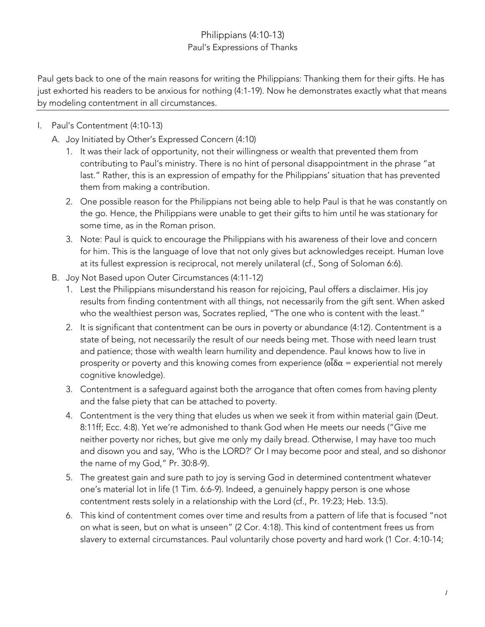## Philippians (4:10-13) Paul's Expressions of Thanks

Paul gets back to one of the main reasons for writing the Philippians: Thanking them for their gifts. He has just exhorted his readers to be anxious for nothing (4:1-19). Now he demonstrates exactly what that means by modeling contentment in all circumstances.

- I. Paul's Contentment (4:10-13)
	- A. Joy Initiated by Other's Expressed Concern (4:10)
		- 1. It was their lack of opportunity, not their willingness or wealth that prevented them from contributing to Paul's ministry. There is no hint of personal disappointment in the phrase "at last." Rather, this is an expression of empathy for the Philippians' situation that has prevented them from making a contribution.
		- 2. One possible reason for the Philippians not being able to help Paul is that he was constantly on the go. Hence, the Philippians were unable to get their gifts to him until he was stationary for some time, as in the Roman prison.
		- 3. Note: Paul is quick to encourage the Philippians with his awareness of their love and concern for him. This is the language of love that not only gives but acknowledges receipt. Human love at its fullest expression is reciprocal, not merely unilateral (cf., Song of Soloman 6:6).
	- B. Joy Not Based upon Outer Circumstances (4:11-12)
		- 1. Lest the Philippians misunderstand his reason for rejoicing, Paul offers a disclaimer. His joy results from finding contentment with all things, not necessarily from the gift sent. When asked who the wealthiest person was, Socrates replied, "The one who is content with the least."
		- 2. It is significant that contentment can be ours in poverty or abundance (4:12). Contentment is a state of being, not necessarily the result of our needs being met. Those with need learn trust and patience; those with wealth learn humility and dependence. Paul knows how to live in prosperity or poverty and this knowing comes from experience ( $\tilde{\alpha}\delta\alpha$  = experiential not merely cognitive knowledge).
		- 3. Contentment is a safeguard against both the arrogance that often comes from having plenty and the false piety that can be attached to poverty.
		- 4. Contentment is the very thing that eludes us when we seek it from within material gain (Deut. 8:11ff; Ecc. 4:8). Yet we're admonished to thank God when He meets our needs ("Give me neither poverty nor riches, but give me only my daily bread. Otherwise, I may have too much and disown you and say, 'Who is the LORD?' Or I may become poor and steal, and so dishonor the name of my God," Pr. 30:8-9).
		- 5. The greatest gain and sure path to joy is serving God in determined contentment whatever one's material lot in life (1 Tim. 6:6-9). Indeed, a genuinely happy person is one whose contentment rests solely in a relationship with the Lord (cf., Pr. 19:23; Heb. 13:5).
		- 6. This kind of contentment comes over time and results from a pattern of life that is focused "not on what is seen, but on what is unseen" (2 Cor. 4:18). This kind of contentment frees us from slavery to external circumstances. Paul voluntarily chose poverty and hard work (1 Cor. 4:10-14;